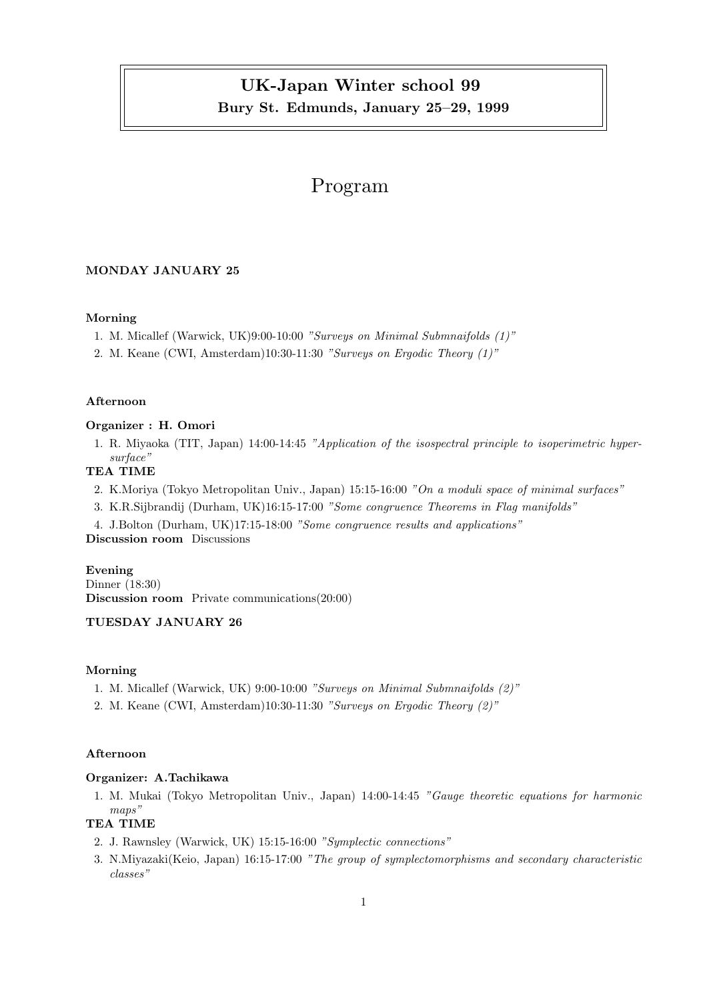## UK-Japan Winter school 99 Bury St. Edmunds, January 25–29, 1999

## Program

## MONDAY JANUARY 25

#### Morning

- 1. M. Micallef (Warwick, UK)9:00-10:00 "Surveys on Minimal Submnaifolds (1)"
- 2. M. Keane (CWI, Amsterdam)10:30-11:30 "Surveys on Ergodic Theory (1)"

#### Afternoon

#### Organizer : H. Omori

1. R. Miyaoka (TIT, Japan) 14:00-14:45 "Application of the isospectral principle to isoperimetric hypersurface"

## TEA TIME

2. K.Moriya (Tokyo Metropolitan Univ., Japan) 15:15-16:00 "On a moduli space of minimal surfaces"

3. K.R.Sijbrandij (Durham, UK)16:15-17:00 "Some congruence Theorems in Flag manifolds"

4. J.Bolton (Durham, UK)17:15-18:00 "Some congruence results and applications" Discussion room Discussions

#### Evening

Dinner (18:30) Discussion room Private communications(20:00)

## TUESDAY JANUARY 26

### Morning

- 1. M. Micallef (Warwick, UK) 9:00-10:00 "Surveys on Minimal Submnaifolds (2)"
- 2. M. Keane (CWI, Amsterdam)10:30-11:30 "Surveys on Ergodic Theory (2)"

#### Afternoon

## Organizer: A.Tachikawa

1. M. Mukai (Tokyo Metropolitan Univ., Japan) 14:00-14:45 "Gauge theoretic equations for harmonic maps"

## TEA TIME

- 2. J. Rawnsley (Warwick, UK) 15:15-16:00 "Symplectic connections"
- 3. N.Miyazaki(Keio, Japan) 16:15-17:00 "The group of symplectomorphisms and secondary characteristic classes"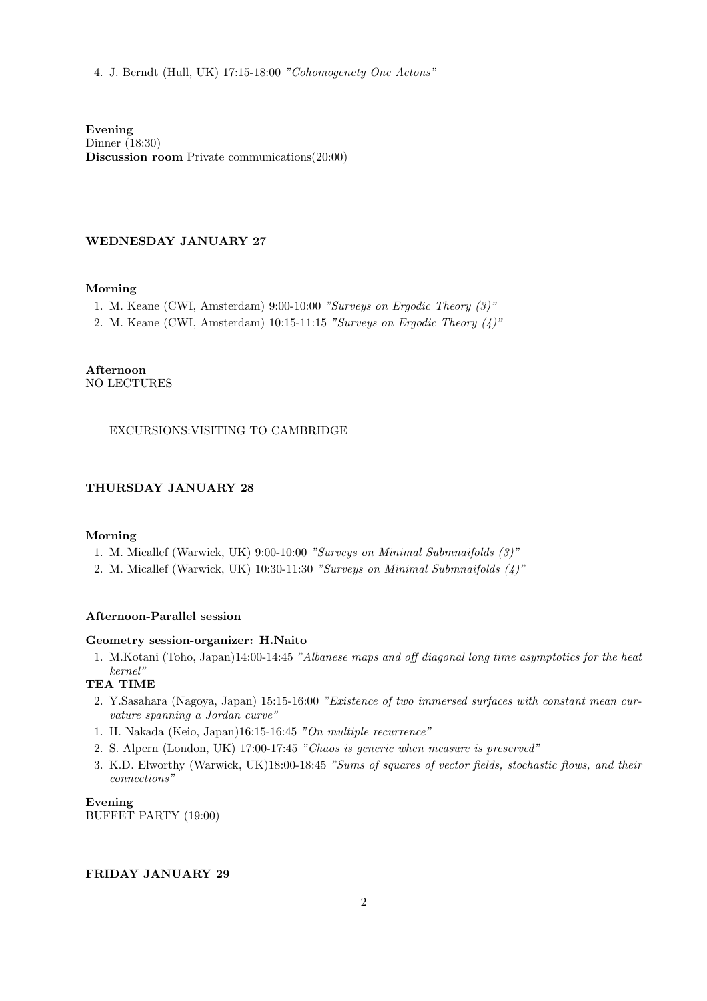4. J. Berndt (Hull, UK) 17:15-18:00 "Cohomogenety One Actons"

Evening Dinner (18:30) Discussion room Private communications(20:00)

## WEDNESDAY JANUARY 27

#### Morning

- 1. M. Keane (CWI, Amsterdam) 9:00-10:00 "Surveys on Ergodic Theory (3)"
- 2. M. Keane (CWI, Amsterdam) 10:15-11:15 "Surveys on Ergodic Theory (4)"

Afternoon NO LECTURES

## EXCURSIONS:VISITING TO CAMBRIDGE

## THURSDAY JANUARY 28

#### Morning

- 1. M. Micallef (Warwick, UK) 9:00-10:00 "Surveys on Minimal Submnaifolds (3)"
- 2. M. Micallef (Warwick, UK) 10:30-11:30 "Surveys on Minimal Submnaifolds (4)"

#### Afternoon-Parallel session

#### Geometry session-organizer: H.Naito

1. M.Kotani (Toho, Japan)14:00-14:45 "Albanese maps and off diagonal long time asymptotics for the heat kernel"

## TEA TIME

- 2. Y.Sasahara (Nagoya, Japan) 15:15-16:00 "Existence of two immersed surfaces with constant mean curvature spanning a Jordan curve"
- 1. H. Nakada (Keio, Japan)16:15-16:45 "On multiple recurrence"
- 2. S. Alpern (London, UK) 17:00-17:45 "Chaos is generic when measure is preserved"
- 3. K.D. Elworthy (Warwick, UK)18:00-18:45 "Sums of squares of vector fields, stochastic flows, and their connections"

Evening BUFFET PARTY (19:00)

#### FRIDAY JANUARY 29